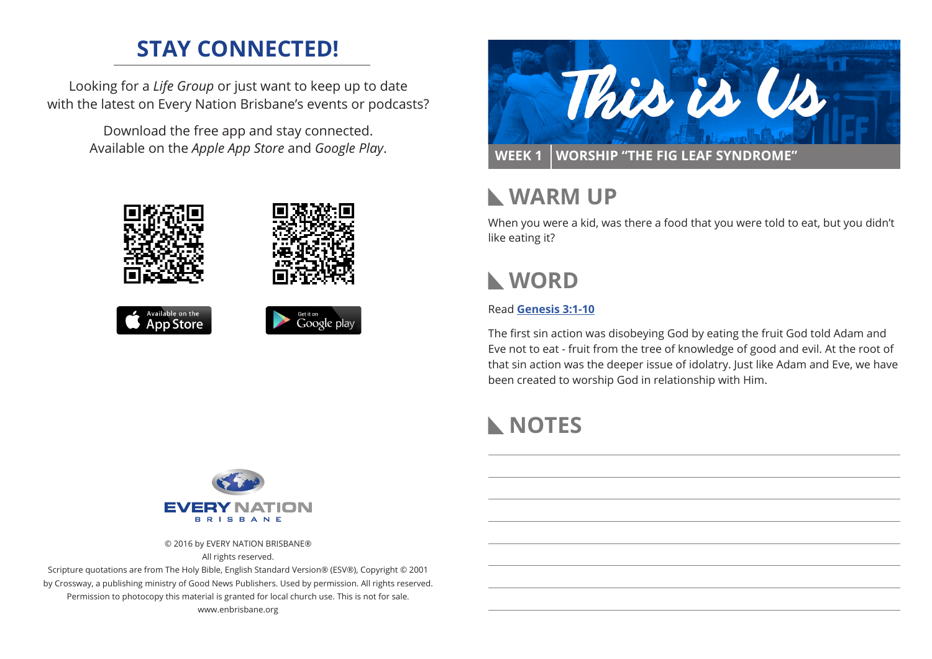# **STAY CONNECTED!**

Looking for a *Life Group* or just want to keep up to date with the latest on Every Nation Brisbane's events or podcasts?

> Download the free app and stay connected. Available on the *Apple App Store* and *Google Play*.





# **WARM UP**

When you were a kid, was there a food that you were told to eat, but you didn't like eating it?

# **WORD**

#### Read **[Genesis 3:1-10](https://www.biblegateway.com/passage/?search=genesis+3%3A1-10&version=NIV)**

The first sin action was disobeying God by eating the fruit God told Adam and Eve not to eat - fruit from the tree of knowledge of good and evil. At the root of that sin action was the deeper issue of idolatry. Just like Adam and Eve, we have been created to worship God in relationship with Him.

# **NOTES**



© 2016 by EVERY NATION BRISBANE®

All rights reserved.

Scripture quotations are from The Holy Bible, English Standard Version® (ESV®), Copyright © 2001 by Crossway, a publishing ministry of Good News Publishers. Used by permission. All rights reserved. Permission to photocopy this material is granted for local church use. This is not for sale. www.enbrisbane.org